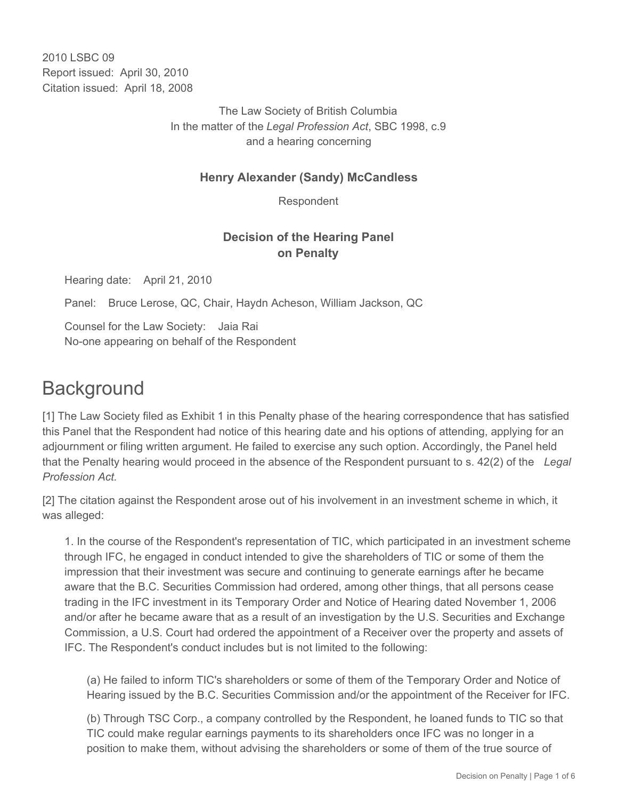2010 LSBC 09 Report issued: April 30, 2010 Citation issued: April 18, 2008

> The Law Society of British Columbia In the matter of the *Legal Profession Act*, SBC 1998, c.9 and a hearing concerning

#### **Henry Alexander (Sandy) McCandless**

Respondent

## **Decision of the Hearing Panel on Penalty**

Hearing date: April 21, 2010

Panel: Bruce Lerose, QC, Chair, Haydn Acheson, William Jackson, QC

Counsel for the Law Society: Jaia Rai No-one appearing on behalf of the Respondent

# **Background**

[1] The Law Society filed as Exhibit 1 in this Penalty phase of the hearing correspondence that has satisfied this Panel that the Respondent had notice of this hearing date and his options of attending, applying for an adjournment or filing written argument. He failed to exercise any such option. Accordingly, the Panel held that the Penalty hearing would proceed in the absence of the Respondent pursuant to s. 42(2) of the *Legal Profession Act.*

[2] The citation against the Respondent arose out of his involvement in an investment scheme in which, it was alleged:

1. In the course of the Respondent's representation of TIC, which participated in an investment scheme through IFC, he engaged in conduct intended to give the shareholders of TIC or some of them the impression that their investment was secure and continuing to generate earnings after he became aware that the B.C. Securities Commission had ordered, among other things, that all persons cease trading in the IFC investment in its Temporary Order and Notice of Hearing dated November 1, 2006 and/or after he became aware that as a result of an investigation by the U.S. Securities and Exchange Commission, a U.S. Court had ordered the appointment of a Receiver over the property and assets of IFC. The Respondent's conduct includes but is not limited to the following:

(a) He failed to inform TIC's shareholders or some of them of the Temporary Order and Notice of Hearing issued by the B.C. Securities Commission and/or the appointment of the Receiver for IFC.

(b) Through TSC Corp., a company controlled by the Respondent, he loaned funds to TIC so that TIC could make regular earnings payments to its shareholders once IFC was no longer in a position to make them, without advising the shareholders or some of them of the true source of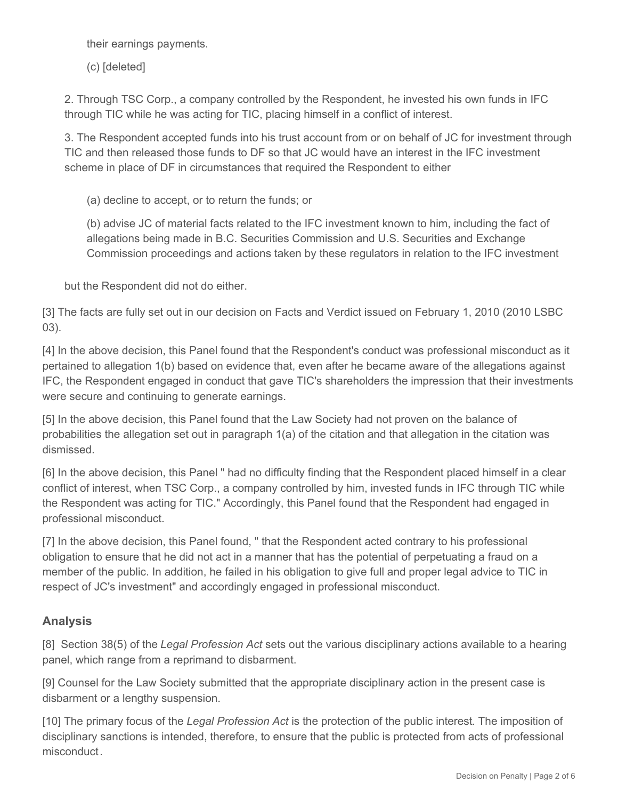their earnings payments.

(c) [deleted]

2. Through TSC Corp., a company controlled by the Respondent, he invested his own funds in IFC through TIC while he was acting for TIC, placing himself in a conflict of interest.

3. The Respondent accepted funds into his trust account from or on behalf of JC for investment through TIC and then released those funds to DF so that JC would have an interest in the IFC investment scheme in place of DF in circumstances that required the Respondent to either

(a) decline to accept, or to return the funds; or

(b) advise JC of material facts related to the IFC investment known to him, including the fact of allegations being made in B.C. Securities Commission and U.S. Securities and Exchange Commission proceedings and actions taken by these regulators in relation to the IFC investment

but the Respondent did not do either.

[3] The facts are fully set out in our decision on Facts and Verdict issued on February 1, 2010 (2010 LSBC 03).

[4] In the above decision, this Panel found that the Respondent's conduct was professional misconduct as it pertained to allegation 1(b) based on evidence that, even after he became aware of the allegations against IFC, the Respondent engaged in conduct that gave TIC's shareholders the impression that their investments were secure and continuing to generate earnings.

[5] In the above decision, this Panel found that the Law Society had not proven on the balance of probabilities the allegation set out in paragraph 1(a) of the citation and that allegation in the citation was dismissed.

[6] In the above decision, this Panel " had no difficulty finding that the Respondent placed himself in a clear conflict of interest, when TSC Corp., a company controlled by him, invested funds in IFC through TIC while the Respondent was acting for TIC." Accordingly, this Panel found that the Respondent had engaged in professional misconduct.

[7] In the above decision, this Panel found, " that the Respondent acted contrary to his professional obligation to ensure that he did not act in a manner that has the potential of perpetuating a fraud on a member of the public. In addition, he failed in his obligation to give full and proper legal advice to TIC in respect of JC's investment" and accordingly engaged in professional misconduct.

# **Analysis**

[8] Section 38(5) of the *Legal Profession Act* sets out the various disciplinary actions available to a hearing panel, which range from a reprimand to disbarment.

[9] Counsel for the Law Society submitted that the appropriate disciplinary action in the present case is disbarment or a lengthy suspension.

[10] The primary focus of the *Legal Profession Act* is the protection of the public interest*.* The imposition of disciplinary sanctions is intended, therefore, to ensure that the public is protected from acts of professional misconduct*.*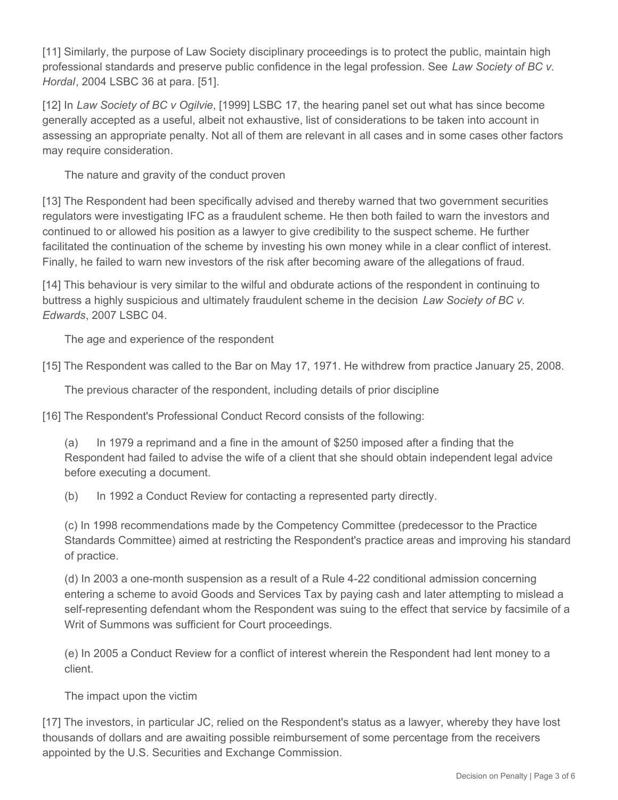[11] Similarly, the purpose of Law Society disciplinary proceedings is to protect the public, maintain high professional standards and preserve public confidence in the legal profession. See *Law Society of BC v. Hordal*, 2004 LSBC 36 at para. [51].

[12] In *Law Society of BC v Ogilvie*, [1999] LSBC 17, the hearing panel set out what has since become generally accepted as a useful, albeit not exhaustive, list of considerations to be taken into account in assessing an appropriate penalty. Not all of them are relevant in all cases and in some cases other factors may require consideration.

The nature and gravity of the conduct proven

[13] The Respondent had been specifically advised and thereby warned that two government securities regulators were investigating IFC as a fraudulent scheme. He then both failed to warn the investors and continued to or allowed his position as a lawyer to give credibility to the suspect scheme. He further facilitated the continuation of the scheme by investing his own money while in a clear conflict of interest. Finally, he failed to warn new investors of the risk after becoming aware of the allegations of fraud.

[14] This behaviour is very similar to the wilful and obdurate actions of the respondent in continuing to buttress a highly suspicious and ultimately fraudulent scheme in the decision *Law Society of BC v. Edwards*, 2007 LSBC 04*.*

The age and experience of the respondent

[15] The Respondent was called to the Bar on May 17, 1971. He withdrew from practice January 25, 2008.

The previous character of the respondent, including details of prior discipline

[16] The Respondent's Professional Conduct Record consists of the following:

(a) In 1979 a reprimand and a fine in the amount of \$250 imposed after a finding that the Respondent had failed to advise the wife of a client that she should obtain independent legal advice before executing a document.

(b) In 1992 a Conduct Review for contacting a represented party directly.

(c) In 1998 recommendations made by the Competency Committee (predecessor to the Practice Standards Committee) aimed at restricting the Respondent's practice areas and improving his standard of practice.

(d) In 2003 a one-month suspension as a result of a Rule 4-22 conditional admission concerning entering a scheme to avoid Goods and Services Tax by paying cash and later attempting to mislead a self-representing defendant whom the Respondent was suing to the effect that service by facsimile of a Writ of Summons was sufficient for Court proceedings.

(e) In 2005 a Conduct Review for a conflict of interest wherein the Respondent had lent money to a client.

The impact upon the victim

[17] The investors, in particular JC, relied on the Respondent's status as a lawyer, whereby they have lost thousands of dollars and are awaiting possible reimbursement of some percentage from the receivers appointed by the U.S. Securities and Exchange Commission.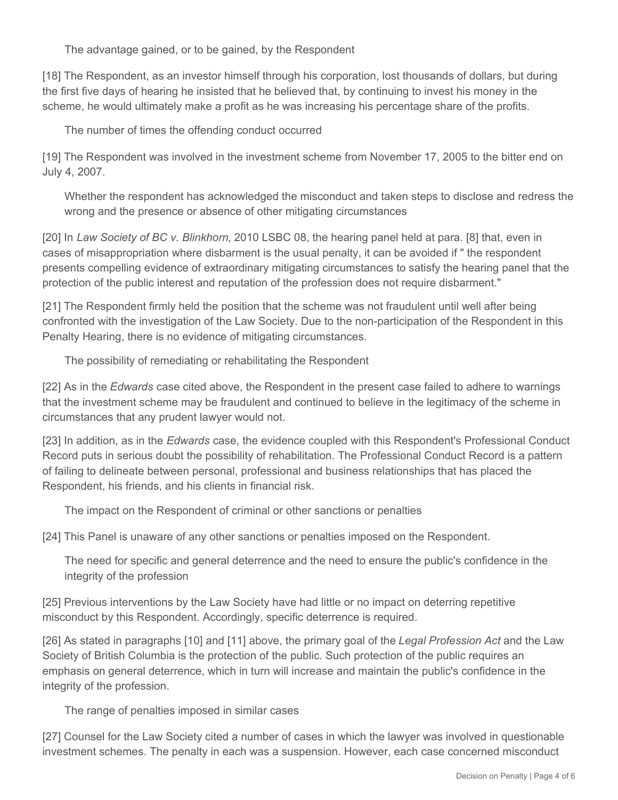The advantage gained, or to be gained, by the Respondent

[18] The Respondent, as an investor himself through his corporation, lost thousands of dollars, but during the first five days of hearing he insisted that he believed that, by continuing to invest his money in the scheme, he would ultimately make a profit as he was increasing his percentage share of the profits.

The number of times the offending conduct occurred

[19] The Respondent was involved in the investment scheme from November 17, 2005 to the bitter end on July 4, 2007.

Whether the respondent has acknowledged the misconduct and taken steps to disclose and redress the wrong and the presence or absence of other mitigating circumstances

[20] In *Law Society of BC v. Blinkhorn*, 2010 LSBC 08, the hearing panel held at para. [8] that, even in cases of misappropriation where disbarment is the usual penalty, it can be avoided if " the respondent presents compelling evidence of extraordinary mitigating circumstances to satisfy the hearing panel that the protection of the public interest and reputation of the profession does not require disbarment."

[21] The Respondent firmly held the position that the scheme was not fraudulent until well after being confronted with the investigation of the Law Society. Due to the non-participation of the Respondent in this Penalty Hearing, there is no evidence of mitigating circumstances.

The possibility of remediating or rehabilitating the Respondent

[22] As in the *Edwards* case cited above, the Respondent in the present case failed to adhere to warnings that the investment scheme may be fraudulent and continued to believe in the legitimacy of the scheme in circumstances that any prudent lawyer would not.

[23] In addition, as in the *Edwards* case, the evidence coupled with this Respondent's Professional Conduct Record puts in serious doubt the possibility of rehabilitation. The Professional Conduct Record is a pattern of failing to delineate between personal, professional and business relationships that has placed the Respondent, his friends, and his clients in financial risk.

The impact on the Respondent of criminal or other sanctions or penalties

[24] This Panel is unaware of any other sanctions or penalties imposed on the Respondent.

The need for specific and general deterrence and the need to ensure the public's confidence in the integrity of the profession

[25] Previous interventions by the Law Society have had little or no impact on deterring repetitive misconduct by this Respondent. Accordingly, specific deterrence is required.

[26] As stated in paragraphs [10] and [11] above, the primary goal of the *Legal Profession Act* and the Law Society of British Columbia is the protection of the public. Such protection of the public requires an emphasis on general deterrence, which in turn will increase and maintain the public's confidence in the integrity of the profession.

The range of penalties imposed in similar cases

[27] Counsel for the Law Society cited a number of cases in which the lawyer was involved in questionable investment schemes. The penalty in each was a suspension. However, each case concerned misconduct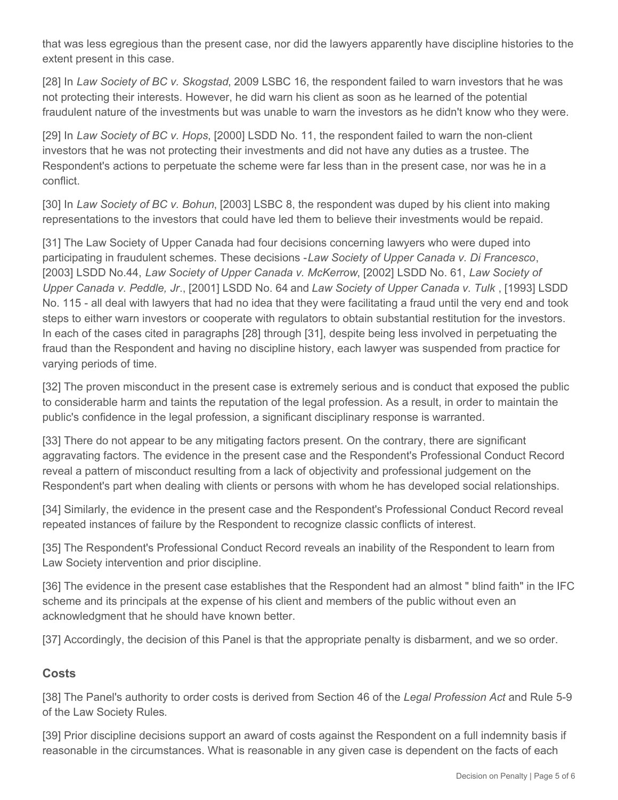that was less egregious than the present case, nor did the lawyers apparently have discipline histories to the extent present in this case.

[28] In *Law Society of BC v. Skogstad*, 2009 LSBC 16, the respondent failed to warn investors that he was not protecting their interests. However, he did warn his client as soon as he learned of the potential fraudulent nature of the investments but was unable to warn the investors as he didn't know who they were.

[29] In *Law Society of BC v. Hops*, [2000] LSDD No. 11, the respondent failed to warn the non-client investors that he was not protecting their investments and did not have any duties as a trustee. The Respondent's actions to perpetuate the scheme were far less than in the present case, nor was he in a conflict.

[30] In *Law Society of BC v. Bohun*, [2003] LSBC 8, the respondent was duped by his client into making representations to the investors that could have led them to believe their investments would be repaid.

[31] The Law Society of Upper Canada had four decisions concerning lawyers who were duped into participating in fraudulent schemes. These decisions -*Law Society of Upper Canada v. Di Francesco*, [2003] LSDD No.44, *Law Society of Upper Canada v. McKerrow*, [2002] LSDD No. 61, *Law Society of Upper Canada v. Peddle, Jr*., [2001] LSDD No. 64 and *Law Society of Upper Canada v. Tulk* , [1993] LSDD No. 115 - all deal with lawyers that had no idea that they were facilitating a fraud until the very end and took steps to either warn investors or cooperate with regulators to obtain substantial restitution for the investors. In each of the cases cited in paragraphs [28] through [31], despite being less involved in perpetuating the fraud than the Respondent and having no discipline history, each lawyer was suspended from practice for varying periods of time.

[32] The proven misconduct in the present case is extremely serious and is conduct that exposed the public to considerable harm and taints the reputation of the legal profession. As a result, in order to maintain the public's confidence in the legal profession, a significant disciplinary response is warranted.

[33] There do not appear to be any mitigating factors present. On the contrary, there are significant aggravating factors. The evidence in the present case and the Respondent's Professional Conduct Record reveal a pattern of misconduct resulting from a lack of objectivity and professional judgement on the Respondent's part when dealing with clients or persons with whom he has developed social relationships.

[34] Similarly, the evidence in the present case and the Respondent's Professional Conduct Record reveal repeated instances of failure by the Respondent to recognize classic conflicts of interest.

[35] The Respondent's Professional Conduct Record reveals an inability of the Respondent to learn from Law Society intervention and prior discipline.

[36] The evidence in the present case establishes that the Respondent had an almost " blind faith" in the IFC scheme and its principals at the expense of his client and members of the public without even an acknowledgment that he should have known better.

[37] Accordingly, the decision of this Panel is that the appropriate penalty is disbarment, and we so order.

### **Costs**

[38] The Panel's authority to order costs is derived from Section 46 of the *Legal Profession Act* and Rule 5-9 of the Law Society Rules*.*

[39] Prior discipline decisions support an award of costs against the Respondent on a full indemnity basis if reasonable in the circumstances. What is reasonable in any given case is dependent on the facts of each